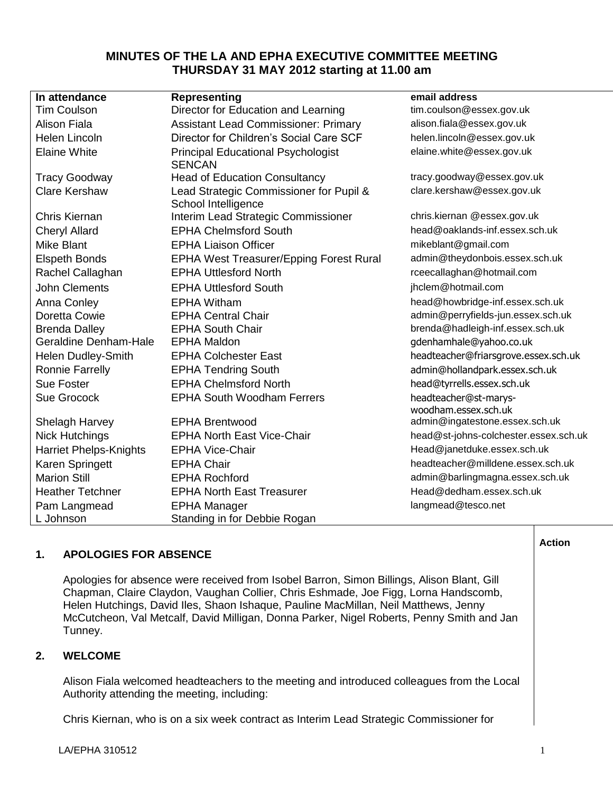# **MINUTES OF THE LA AND EPHA EXECUTIVE COMMITTEE MEETING THURSDAY 31 MAY 2012 starting at 11.00 am**

| In attendance                 | <b>Representing</b>                         | email address                         |
|-------------------------------|---------------------------------------------|---------------------------------------|
| <b>Tim Coulson</b>            | Director for Education and Learning         | tim.coulson@essex.gov.uk              |
| <b>Alison Fiala</b>           | <b>Assistant Lead Commissioner: Primary</b> | alison.fiala@essex.gov.uk             |
| Helen Lincoln                 | Director for Children's Social Care SCF     | helen.lincoln@essex.gov.uk            |
| <b>Elaine White</b>           | <b>Principal Educational Psychologist</b>   | elaine.white@essex.gov.uk             |
|                               | <b>SENCAN</b>                               |                                       |
| <b>Tracy Goodway</b>          | <b>Head of Education Consultancy</b>        | tracy.goodway@essex.gov.uk            |
| <b>Clare Kershaw</b>          | Lead Strategic Commissioner for Pupil &     | clare.kershaw@essex.gov.uk            |
|                               | School Intelligence                         |                                       |
| Chris Kiernan                 | Interim Lead Strategic Commissioner         | chris.kiernan @essex.gov.uk           |
| <b>Cheryl Allard</b>          | <b>EPHA Chelmsford South</b>                | head@oaklands-inf.essex.sch.uk        |
| Mike Blant                    | <b>EPHA Liaison Officer</b>                 | mikeblant@gmail.com                   |
| <b>Elspeth Bonds</b>          | EPHA West Treasurer/Epping Forest Rural     | admin@theydonbois.essex.sch.uk        |
| Rachel Callaghan              | <b>EPHA Uttlesford North</b>                | rceecallaghan@hotmail.com             |
| <b>John Clements</b>          | <b>EPHA Uttlesford South</b>                | jhclem@hotmail.com                    |
| <b>Anna Conley</b>            | <b>EPHA Witham</b>                          | head@howbridge-inf.essex.sch.uk       |
| Doretta Cowie                 | <b>EPHA Central Chair</b>                   | admin@perryfields-jun.essex.sch.uk    |
| <b>Brenda Dalley</b>          | <b>EPHA South Chair</b>                     | brenda@hadleigh-inf.essex.sch.uk      |
| <b>Geraldine Denham-Hale</b>  | <b>EPHA Maldon</b>                          | gdenhamhale@yahoo.co.uk               |
| Helen Dudley-Smith            | <b>EPHA Colchester East</b>                 | headteacher@friarsgrove.essex.sch.uk  |
| <b>Ronnie Farrelly</b>        | <b>EPHA Tendring South</b>                  | admin@hollandpark.essex.sch.uk        |
| <b>Sue Foster</b>             | <b>EPHA Chelmsford North</b>                | head@tyrrells.essex.sch.uk            |
| <b>Sue Grocock</b>            | <b>EPHA South Woodham Ferrers</b>           | headteacher@st-marys-                 |
|                               |                                             | woodham.essex.sch.uk                  |
| Shelagh Harvey                | <b>EPHA Brentwood</b>                       | admin@ingatestone.essex.sch.uk        |
| <b>Nick Hutchings</b>         | <b>EPHA North East Vice-Chair</b>           | head@st-johns-colchester.essex.sch.uk |
| <b>Harriet Phelps-Knights</b> | <b>EPHA Vice-Chair</b>                      | Head@janetduke.essex.sch.uk           |
| Karen Springett               | <b>EPHA Chair</b>                           | headteacher@milldene.essex.sch.uk     |
| <b>Marion Still</b>           | <b>EPHA Rochford</b>                        | admin@barlingmagna.essex.sch.uk       |
| <b>Heather Tetchner</b>       | <b>EPHA North East Treasurer</b>            | Head@dedham.essex.sch.uk              |
| Pam Langmead                  | <b>EPHA Manager</b>                         | langmead@tesco.net                    |
| L Johnson                     | Standing in for Debbie Rogan                |                                       |

# **1. APOLOGIES FOR ABSENCE**

Apologies for absence were received from Isobel Barron, Simon Billings, Alison Blant, Gill Chapman, Claire Claydon, Vaughan Collier, Chris Eshmade, Joe Figg, Lorna Handscomb, Helen Hutchings, David Iles, Shaon Ishaque, Pauline MacMillan, Neil Matthews, Jenny McCutcheon, Val Metcalf, David Milligan, Donna Parker, Nigel Roberts, Penny Smith and Jan Tunney.

## **2. WELCOME**

Alison Fiala welcomed headteachers to the meeting and introduced colleagues from the Local Authority attending the meeting, including:

Chris Kiernan, who is on a six week contract as Interim Lead Strategic Commissioner for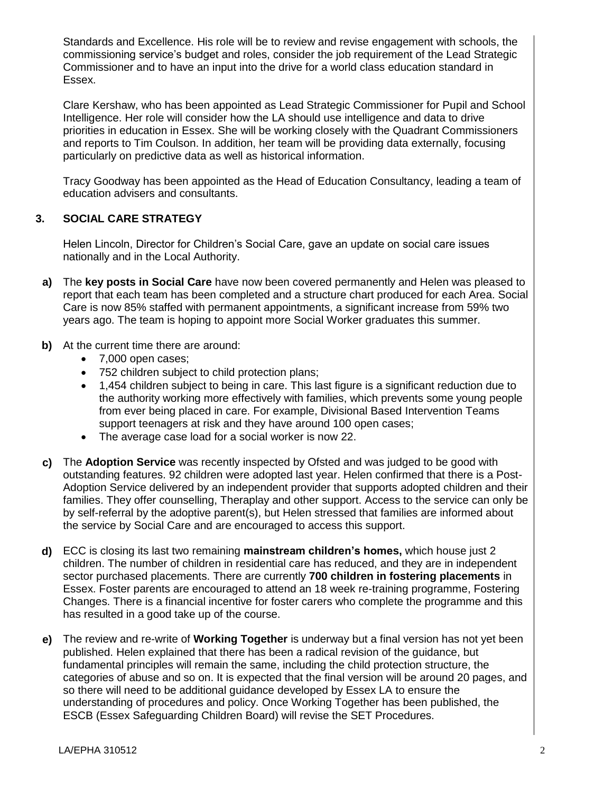Standards and Excellence. His role will be to review and revise engagement with schools, the commissioning service's budget and roles, consider the job requirement of the Lead Strategic Commissioner and to have an input into the drive for a world class education standard in Essex.

Clare Kershaw, who has been appointed as Lead Strategic Commissioner for Pupil and School Intelligence. Her role will consider how the LA should use intelligence and data to drive priorities in education in Essex. She will be working closely with the Quadrant Commissioners and reports to Tim Coulson. In addition, her team will be providing data externally, focusing particularly on predictive data as well as historical information.

Tracy Goodway has been appointed as the Head of Education Consultancy, leading a team of education advisers and consultants.

#### **3. SOCIAL CARE STRATEGY**

Helen Lincoln, Director for Children's Social Care, gave an update on social care issues nationally and in the Local Authority.

- **a)** The **key posts in Social Care** have now been covered permanently and Helen was pleased to report that each team has been completed and a structure chart produced for each Area. Social Care is now 85% staffed with permanent appointments, a significant increase from 59% two years ago. The team is hoping to appoint more Social Worker graduates this summer.
- **b)** At the current time there are around:
	- 7,000 open cases;
	- 752 children subject to child protection plans;
	- 1,454 children subject to being in care. This last figure is a significant reduction due to the authority working more effectively with families, which prevents some young people from ever being placed in care. For example, Divisional Based Intervention Teams support teenagers at risk and they have around 100 open cases;
	- The average case load for a social worker is now 22.
- **c)** The **Adoption Service** was recently inspected by Ofsted and was judged to be good with outstanding features. 92 children were adopted last year. Helen confirmed that there is a Post-Adoption Service delivered by an independent provider that supports adopted children and their families. They offer counselling, Theraplay and other support. Access to the service can only be by self-referral by the adoptive parent(s), but Helen stressed that families are informed about the service by Social Care and are encouraged to access this support.
- **d)** ECC is closing its last two remaining **mainstream children's homes,** which house just 2 children. The number of children in residential care has reduced, and they are in independent sector purchased placements. There are currently **700 children in fostering placements** in Essex. Foster parents are encouraged to attend an 18 week re-training programme, Fostering Changes. There is a financial incentive for foster carers who complete the programme and this has resulted in a good take up of the course.
- **e)** The review and re-write of **Working Together** is underway but a final version has not yet been published. Helen explained that there has been a radical revision of the guidance, but fundamental principles will remain the same, including the child protection structure, the categories of abuse and so on. It is expected that the final version will be around 20 pages, and so there will need to be additional guidance developed by Essex LA to ensure the understanding of procedures and policy. Once Working Together has been published, the ESCB (Essex Safeguarding Children Board) will revise the SET Procedures.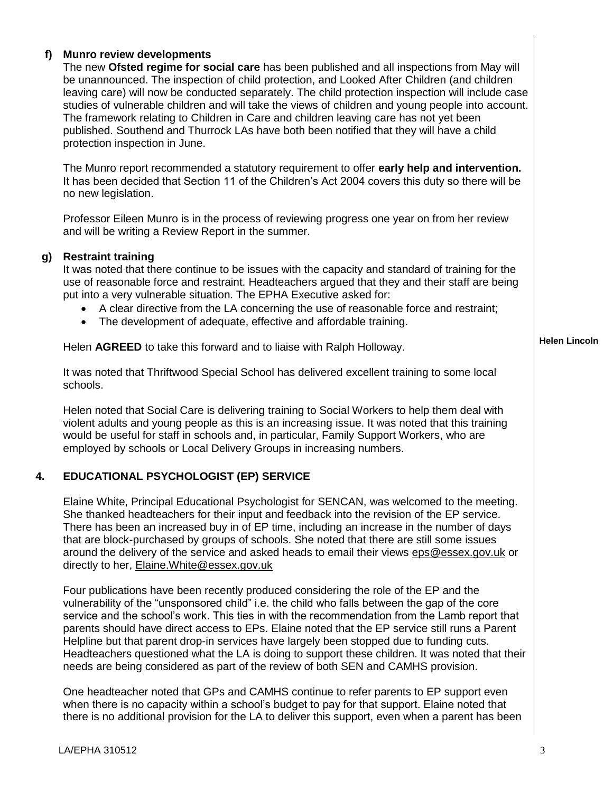#### **f) Munro review developments**

The new **Ofsted regime for social care** has been published and all inspections from May will be unannounced. The inspection of child protection, and Looked After Children (and children leaving care) will now be conducted separately. The child protection inspection will include case studies of vulnerable children and will take the views of children and young people into account. The framework relating to Children in Care and children leaving care has not yet been published. Southend and Thurrock LAs have both been notified that they will have a child protection inspection in June.

The Munro report recommended a statutory requirement to offer **early help and intervention.** It has been decided that Section 11 of the Children's Act 2004 covers this duty so there will be no new legislation.

Professor Eileen Munro is in the process of reviewing progress one year on from her review and will be writing a Review Report in the summer.

#### **g) Restraint training**

It was noted that there continue to be issues with the capacity and standard of training for the use of reasonable force and restraint. Headteachers argued that they and their staff are being put into a very vulnerable situation. The EPHA Executive asked for:

- A clear directive from the LA concerning the use of reasonable force and restraint;
- The development of adequate, effective and affordable training.

Helen **AGREED** to take this forward and to liaise with Ralph Holloway.

It was noted that Thriftwood Special School has delivered excellent training to some local schools.

Helen noted that Social Care is delivering training to Social Workers to help them deal with violent adults and young people as this is an increasing issue. It was noted that this training would be useful for staff in schools and, in particular, Family Support Workers, who are employed by schools or Local Delivery Groups in increasing numbers.

## **4. EDUCATIONAL PSYCHOLOGIST (EP) SERVICE**

Elaine White, Principal Educational Psychologist for SENCAN, was welcomed to the meeting. She thanked headteachers for their input and feedback into the revision of the EP service. There has been an increased buy in of EP time, including an increase in the number of days that are block-purchased by groups of schools. She noted that there are still some issues around the delivery of the service and asked heads to email their views [eps@essex.gov.uk](mailto:eps@essex.gov.uk) or directly to her, [Elaine.White@essex.gov.uk](mailto:Elaine.White@essex.gov.uk)

Four publications have been recently produced considering the role of the EP and the vulnerability of the "unsponsored child" i.e. the child who falls between the gap of the core service and the school's work. This ties in with the recommendation from the Lamb report that parents should have direct access to EPs. Elaine noted that the EP service still runs a Parent Helpline but that parent drop-in services have largely been stopped due to funding cuts. Headteachers questioned what the LA is doing to support these children. It was noted that their needs are being considered as part of the review of both SEN and CAMHS provision.

One headteacher noted that GPs and CAMHS continue to refer parents to EP support even when there is no capacity within a school's budget to pay for that support. Elaine noted that there is no additional provision for the LA to deliver this support, even when a parent has been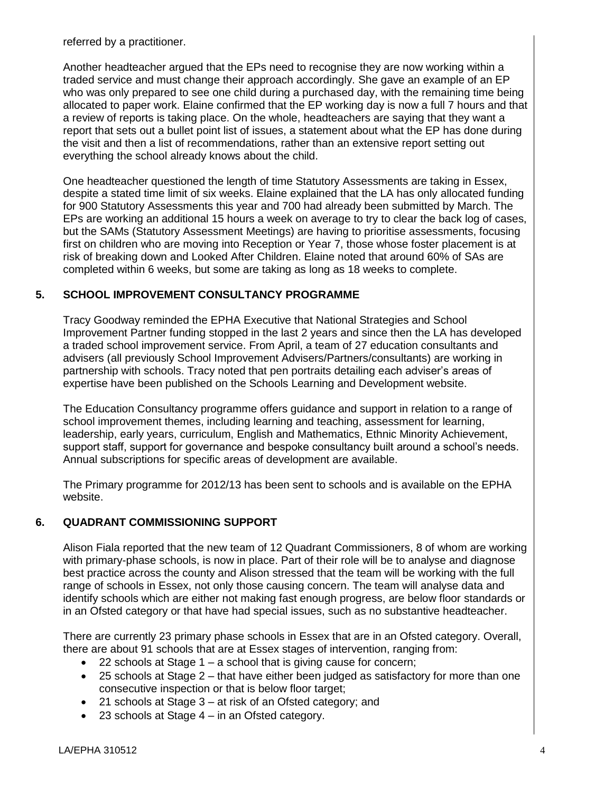referred by a practitioner.

Another headteacher argued that the EPs need to recognise they are now working within a traded service and must change their approach accordingly. She gave an example of an EP who was only prepared to see one child during a purchased day, with the remaining time being allocated to paper work. Elaine confirmed that the EP working day is now a full 7 hours and that a review of reports is taking place. On the whole, headteachers are saying that they want a report that sets out a bullet point list of issues, a statement about what the EP has done during the visit and then a list of recommendations, rather than an extensive report setting out everything the school already knows about the child.

One headteacher questioned the length of time Statutory Assessments are taking in Essex, despite a stated time limit of six weeks. Elaine explained that the LA has only allocated funding for 900 Statutory Assessments this year and 700 had already been submitted by March. The EPs are working an additional 15 hours a week on average to try to clear the back log of cases, but the SAMs (Statutory Assessment Meetings) are having to prioritise assessments, focusing first on children who are moving into Reception or Year 7, those whose foster placement is at risk of breaking down and Looked After Children. Elaine noted that around 60% of SAs are completed within 6 weeks, but some are taking as long as 18 weeks to complete.

## **5. SCHOOL IMPROVEMENT CONSULTANCY PROGRAMME**

Tracy Goodway reminded the EPHA Executive that National Strategies and School Improvement Partner funding stopped in the last 2 years and since then the LA has developed a traded school improvement service. From April, a team of 27 education consultants and advisers (all previously School Improvement Advisers/Partners/consultants) are working in partnership with schools. Tracy noted that pen portraits detailing each adviser's areas of expertise have been published on the Schools Learning and Development website.

The Education Consultancy programme offers guidance and support in relation to a range of school improvement themes, including learning and teaching, assessment for learning, leadership, early years, curriculum, English and Mathematics, Ethnic Minority Achievement, support staff, support for governance and bespoke consultancy built around a school's needs. Annual subscriptions for specific areas of development are available.

The Primary programme for 2012/13 has been sent to schools and is available on the EPHA website.

## **6. QUADRANT COMMISSIONING SUPPORT**

Alison Fiala reported that the new team of 12 Quadrant Commissioners, 8 of whom are working with primary-phase schools, is now in place. Part of their role will be to analyse and diagnose best practice across the county and Alison stressed that the team will be working with the full range of schools in Essex, not only those causing concern. The team will analyse data and identify schools which are either not making fast enough progress, are below floor standards or in an Ofsted category or that have had special issues, such as no substantive headteacher.

There are currently 23 primary phase schools in Essex that are in an Ofsted category. Overall, there are about 91 schools that are at Essex stages of intervention, ranging from:

- 22 schools at Stage 1 a school that is giving cause for concern;
- 25 schools at Stage 2 that have either been judged as satisfactory for more than one consecutive inspection or that is below floor target;
- 21 schools at Stage 3 at risk of an Ofsted category; and
- 23 schools at Stage 4 in an Ofsted category.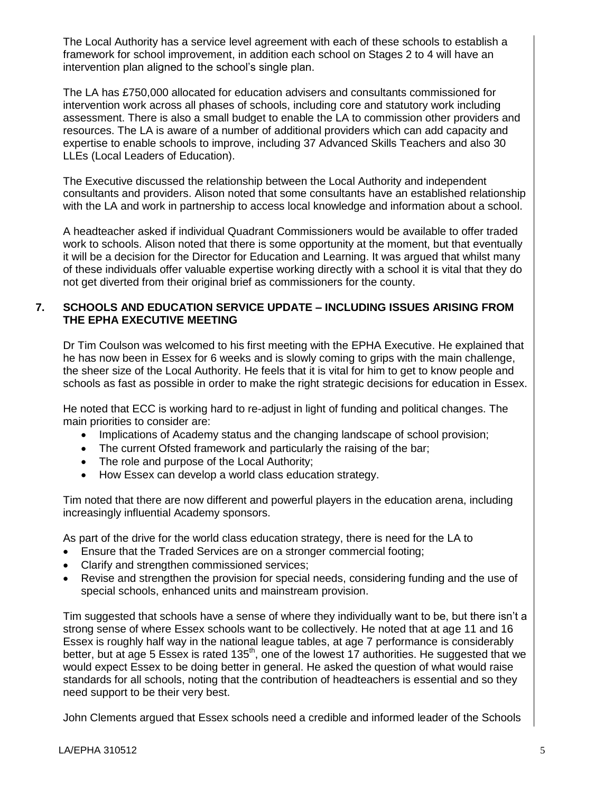The Local Authority has a service level agreement with each of these schools to establish a framework for school improvement, in addition each school on Stages 2 to 4 will have an intervention plan aligned to the school's single plan.

The LA has £750,000 allocated for education advisers and consultants commissioned for intervention work across all phases of schools, including core and statutory work including assessment. There is also a small budget to enable the LA to commission other providers and resources. The LA is aware of a number of additional providers which can add capacity and expertise to enable schools to improve, including 37 Advanced Skills Teachers and also 30 LLEs (Local Leaders of Education).

The Executive discussed the relationship between the Local Authority and independent consultants and providers. Alison noted that some consultants have an established relationship with the LA and work in partnership to access local knowledge and information about a school.

A headteacher asked if individual Quadrant Commissioners would be available to offer traded work to schools. Alison noted that there is some opportunity at the moment, but that eventually it will be a decision for the Director for Education and Learning. It was argued that whilst many of these individuals offer valuable expertise working directly with a school it is vital that they do not get diverted from their original brief as commissioners for the county.

## **7. SCHOOLS AND EDUCATION SERVICE UPDATE – INCLUDING ISSUES ARISING FROM THE EPHA EXECUTIVE MEETING**

Dr Tim Coulson was welcomed to his first meeting with the EPHA Executive. He explained that he has now been in Essex for 6 weeks and is slowly coming to grips with the main challenge, the sheer size of the Local Authority. He feels that it is vital for him to get to know people and schools as fast as possible in order to make the right strategic decisions for education in Essex.

He noted that ECC is working hard to re-adjust in light of funding and political changes. The main priorities to consider are:

- Implications of Academy status and the changing landscape of school provision;
- The current Ofsted framework and particularly the raising of the bar;
- The role and purpose of the Local Authority;
- How Essex can develop a world class education strategy.

Tim noted that there are now different and powerful players in the education arena, including increasingly influential Academy sponsors.

As part of the drive for the world class education strategy, there is need for the LA to

- Ensure that the Traded Services are on a stronger commercial footing;
- Clarify and strengthen commissioned services;
- Revise and strengthen the provision for special needs, considering funding and the use of special schools, enhanced units and mainstream provision.

Tim suggested that schools have a sense of where they individually want to be, but there isn't a strong sense of where Essex schools want to be collectively. He noted that at age 11 and 16 Essex is roughly half way in the national league tables, at age 7 performance is considerably better, but at age 5 Essex is rated 135<sup>th</sup>, one of the lowest 17 authorities. He suggested that we would expect Essex to be doing better in general. He asked the question of what would raise standards for all schools, noting that the contribution of headteachers is essential and so they need support to be their very best.

John Clements argued that Essex schools need a credible and informed leader of the Schools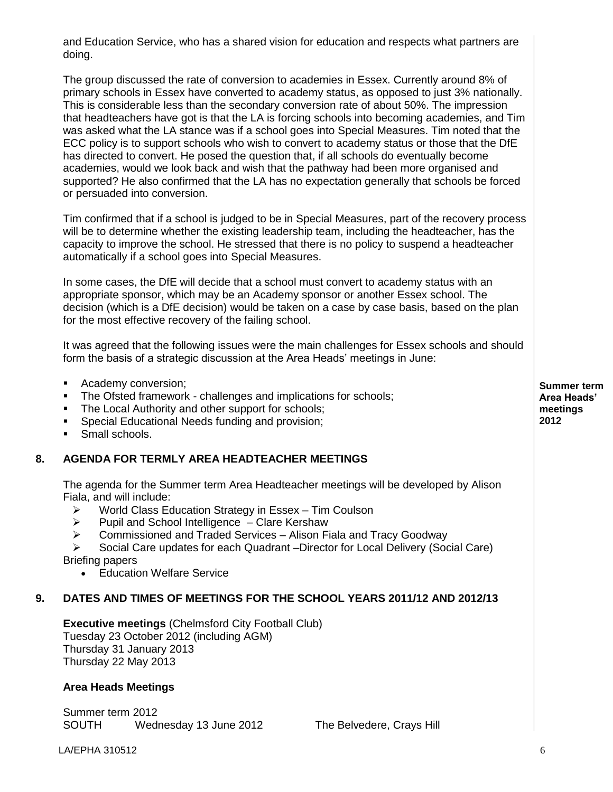and Education Service, who has a shared vision for education and respects what partners are doing.

The group discussed the rate of conversion to academies in Essex. Currently around 8% of primary schools in Essex have converted to academy status, as opposed to just 3% nationally. This is considerable less than the secondary conversion rate of about 50%. The impression that headteachers have got is that the LA is forcing schools into becoming academies, and Tim was asked what the LA stance was if a school goes into Special Measures. Tim noted that the ECC policy is to support schools who wish to convert to academy status or those that the DfE has directed to convert. He posed the question that, if all schools do eventually become academies, would we look back and wish that the pathway had been more organised and supported? He also confirmed that the LA has no expectation generally that schools be forced or persuaded into conversion.

Tim confirmed that if a school is judged to be in Special Measures, part of the recovery process will be to determine whether the existing leadership team, including the headteacher, has the capacity to improve the school. He stressed that there is no policy to suspend a headteacher automatically if a school goes into Special Measures.

In some cases, the DfE will decide that a school must convert to academy status with an appropriate sponsor, which may be an Academy sponsor or another Essex school. The decision (which is a DfE decision) would be taken on a case by case basis, based on the plan for the most effective recovery of the failing school.

It was agreed that the following issues were the main challenges for Essex schools and should form the basis of a strategic discussion at the Area Heads' meetings in June:

- **Academy conversion;**
- The Ofsted framework challenges and implications for schools;
- The Local Authority and other support for schools:
- **Special Educational Needs funding and provision;**
- Small schools.

## **8. AGENDA FOR TERMLY AREA HEADTEACHER MEETINGS**

The agenda for the Summer term Area Headteacher meetings will be developed by Alison Fiala, and will include:

- $\triangleright$  World Class Education Strategy in Essex Tim Coulson
- $\triangleright$  Pupil and School Intelligence Clare Kershaw
- $\triangleright$  Commissioned and Traded Services Alison Fiala and Tracy Goodway

 Social Care updates for each Quadrant –Director for Local Delivery (Social Care) Briefing papers

• Education Welfare Service

## **9. DATES AND TIMES OF MEETINGS FOR THE SCHOOL YEARS 2011/12 AND 2012/13**

**Executive meetings** (Chelmsford City Football Club) Tuesday 23 October 2012 (including AGM) Thursday 31 January 2013 Thursday 22 May 2013

#### **Area Heads Meetings**

Summer term 2012 SOUTH Wednesday 13 June 2012 The Belvedere, Crays Hill

**Summer term Area Heads' meetings 2012**